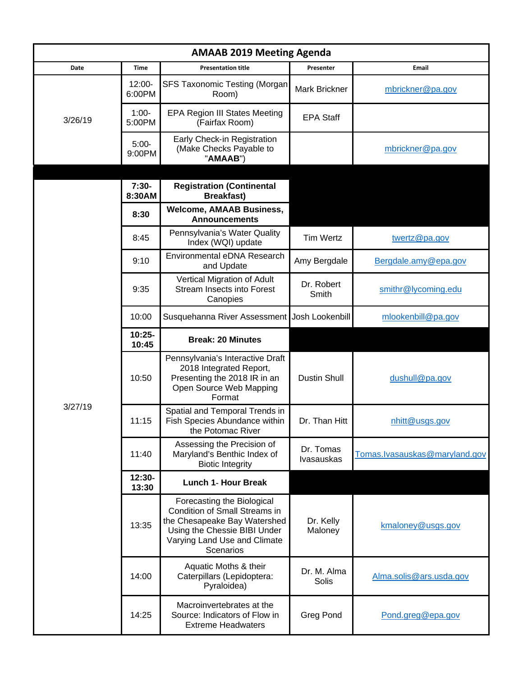| <b>AMAAB 2019 Meeting Agenda</b> |                     |                                                                                                                                                                                 |                         |                               |  |  |  |
|----------------------------------|---------------------|---------------------------------------------------------------------------------------------------------------------------------------------------------------------------------|-------------------------|-------------------------------|--|--|--|
| Date                             | <b>Time</b>         | <b>Presentation title</b>                                                                                                                                                       | Presenter               | <b>Email</b>                  |  |  |  |
| 3/26/19                          | $12:00 -$<br>6:00PM | <b>SFS Taxonomic Testing (Morgan</b><br>Room)                                                                                                                                   | Mark Brickner           | mbrickner@pa.gov              |  |  |  |
|                                  | $1:00-$<br>5:00PM   | <b>EPA Region III States Meeting</b><br>(Fairfax Room)                                                                                                                          | <b>EPA Staff</b>        |                               |  |  |  |
|                                  | $5:00-$<br>9:00PM   | Early Check-in Registration<br>(Make Checks Payable to<br>"AMAAB")                                                                                                              |                         | mbrickner@pa.gov              |  |  |  |
| 3/27/19                          | $7:30-$<br>8:30AM   | <b>Registration (Continental</b><br><b>Breakfast)</b>                                                                                                                           |                         |                               |  |  |  |
|                                  | 8:30                | <b>Welcome, AMAAB Business,</b><br><b>Announcements</b>                                                                                                                         |                         |                               |  |  |  |
|                                  | 8:45                | Pennsylvania's Water Quality<br>Index (WQI) update                                                                                                                              | <b>Tim Wertz</b>        | twertz@pa.gov                 |  |  |  |
|                                  | 9:10                | Environmental eDNA Research<br>and Update                                                                                                                                       | Amy Bergdale            | Bergdale.amy@epa.gov          |  |  |  |
|                                  | 9:35                | Vertical Migration of Adult<br><b>Stream Insects into Forest</b><br>Canopies                                                                                                    | Dr. Robert<br>Smith     | smithr@lycoming.edu           |  |  |  |
|                                  | 10:00               | Susquehanna River Assessment                                                                                                                                                    | Josh Lookenbill         | mlookenbill@pa.gov            |  |  |  |
|                                  | $10:25 -$<br>10:45  | <b>Break: 20 Minutes</b>                                                                                                                                                        |                         |                               |  |  |  |
|                                  | 10:50               | Pennsylvania's Interactive Draft<br>2018 Integrated Report,<br>Presenting the 2018 IR in an<br>Open Source Web Mapping<br>Format                                                | <b>Dustin Shull</b>     | dushull@pa.gov                |  |  |  |
|                                  | 11:15               | Spatial and Temporal Trends in<br>Fish Species Abundance within<br>the Potomac River                                                                                            | Dr. Than Hitt           | nhitt@usgs.gov                |  |  |  |
|                                  | 11:40               | Assessing the Precision of<br>Maryland's Benthic Index of<br><b>Biotic Integrity</b>                                                                                            | Dr. Tomas<br>Ivasauskas | Tomas.lvasauskas@maryland.gov |  |  |  |
|                                  | 12:30-<br>13:30     | <b>Lunch 1- Hour Break</b>                                                                                                                                                      |                         |                               |  |  |  |
|                                  | 13:35               | Forecasting the Biological<br><b>Condition of Small Streams in</b><br>the Chesapeake Bay Watershed<br>Using the Chessie BIBI Under<br>Varying Land Use and Climate<br>Scenarios | Dr. Kelly<br>Maloney    | kmaloney@usgs.gov             |  |  |  |
|                                  | 14:00               | Aquatic Moths & their<br>Caterpillars (Lepidoptera:<br>Pyraloidea)                                                                                                              | Dr. M. Alma<br>Solis    | Alma.solis@ars.usda.gov       |  |  |  |
|                                  | 14:25               | Macroinvertebrates at the<br>Source: Indicators of Flow in<br><b>Extreme Headwaters</b>                                                                                         | Greg Pond               | Pond.greg@epa.gov             |  |  |  |